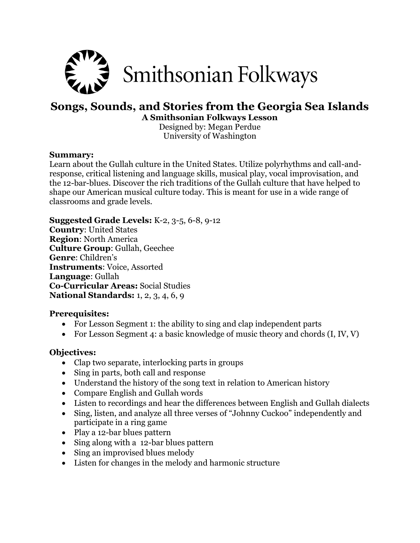

# **Songs, Sounds, and Stories from the Georgia Sea Islands A Smithsonian Folkways Lesson**

Designed by: Megan Perdue University of Washington

### **Summary:**

Learn about the Gullah culture in the United States. Utilize polyrhythms and call-andresponse, critical listening and language skills, musical play, vocal improvisation, and the 12-bar-blues. Discover the rich traditions of the Gullah culture that have helped to shape our American musical culture today. This is meant for use in a wide range of classrooms and grade levels.

#### **Suggested Grade Levels:** K-2, 3-5, 6-8, 9-12

**Country**: United States **Region**: North America **Culture Group**: Gullah, Geechee **Genre**: Children's **Instruments**: Voice, Assorted **Language**: Gullah **Co-Curricular Areas:** Social Studies **National Standards:** 1, 2, 3, 4, 6, 9

### **Prerequisites:**

- For Lesson Segment 1: the ability to sing and clap independent parts
- For Lesson Segment 4: a basic knowledge of music theory and chords  $(I, IV, V)$

### **Objectives:**

- Clap two separate, interlocking parts in groups
- Sing in parts, both call and response
- Understand the history of the song text in relation to American history
- Compare English and Gullah words
- Listen to recordings and hear the differences between English and Gullah dialects
- Sing, listen, and analyze all three verses of "Johnny Cuckoo" independently and participate in a ring game
- Play a 12-bar blues pattern
- Sing along with a 12-bar blues pattern
- Sing an improvised blues melody
- Listen for changes in the melody and harmonic structure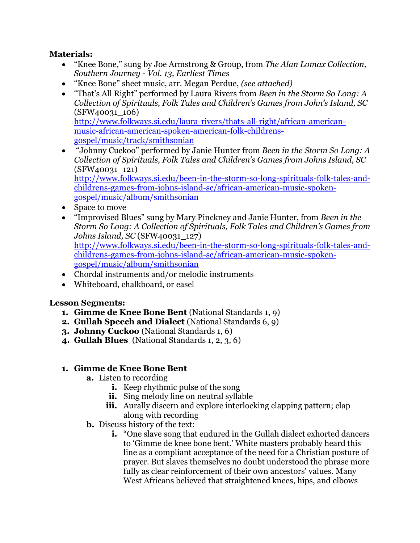### **Materials:**

- "Knee Bone," sung by Joe Armstrong & Group, from *The Alan Lomax Collection, Southern Journey - Vol. 13, Earliest Times*
- "Knee Bone" sheet music, arr. Megan Perdue, *(see attached)*
- "That's All Right" performed by Laura Rivers from *Been in the Storm So Long: A Collection of Spirituals, Folk Tales and Children's Games from John's Island, SC*  (SFW40031\_106) [http://www.folkways.si.edu/laura-rivers/thats-all-right/african-american](http://www.folkways.si.edu/laura-rivers/thats-all-right/african-american-music-african-american-spoken-american-folk-childrens-gospel/music/track/smithsonian)[music-african-american-spoken-american-folk-childrens](http://www.folkways.si.edu/laura-rivers/thats-all-right/african-american-music-african-american-spoken-american-folk-childrens-gospel/music/track/smithsonian)[gospel/music/track/smithsonian](http://www.folkways.si.edu/laura-rivers/thats-all-right/african-american-music-african-american-spoken-american-folk-childrens-gospel/music/track/smithsonian)
- "Johnny Cuckoo" performed by Janie Hunter from *Been in the Storm So Long: A Collection of Spirituals, Folk Tales and Children's Games from Johns Island, SC*  (SFW40031\_121) [http://www.folkways.si.edu/been-in-the-storm-so-long-spirituals-folk-tales-and](http://www.folkways.si.edu/been-in-the-storm-so-long-spirituals-folk-tales-and-childrens-games-from-johns-island-sc/african-american-music-spoken-gospel/music/album/smithsonian)[childrens-games-from-johns-island-sc/african-american-music-spoken](http://www.folkways.si.edu/been-in-the-storm-so-long-spirituals-folk-tales-and-childrens-games-from-johns-island-sc/african-american-music-spoken-gospel/music/album/smithsonian)[gospel/music/album/smithsonian](http://www.folkways.si.edu/been-in-the-storm-so-long-spirituals-folk-tales-and-childrens-games-from-johns-island-sc/african-american-music-spoken-gospel/music/album/smithsonian)
- Space to move
- "Improvised Blues" sung by Mary Pinckney and Janie Hunter, from *Been in the Storm So Long: A Collection of Spirituals, Folk Tales and Children's Games from Johns Island, SC* (SFW40031\_127) [http://www.folkways.si.edu/been-in-the-storm-so-long-spirituals-folk-tales-and](http://www.folkways.si.edu/been-in-the-storm-so-long-spirituals-folk-tales-and-childrens-games-from-johns-island-sc/african-american-music-spoken-gospel/music/album/smithsonian)[childrens-games-from-johns-island-sc/african-american-music-spoken](http://www.folkways.si.edu/been-in-the-storm-so-long-spirituals-folk-tales-and-childrens-games-from-johns-island-sc/african-american-music-spoken-gospel/music/album/smithsonian)[gospel/music/album/smithsonian](http://www.folkways.si.edu/been-in-the-storm-so-long-spirituals-folk-tales-and-childrens-games-from-johns-island-sc/african-american-music-spoken-gospel/music/album/smithsonian)
- Chordal instruments and/or melodic instruments
- Whiteboard, chalkboard, or easel

### **Lesson Segments:**

- **1. Gimme de Knee Bone Bent** (National Standards 1, 9)
- **2. Gullah Speech and Dialect** (National Standards 6, 9)
- **3. Johnny Cuckoo** (National Standards 1, 6)
- **4. Gullah Blues** (National Standards 1, 2, 3, 6)

### **1. Gimme de Knee Bone Bent**

- **a.** Listen to recording
	- **i.** Keep rhythmic pulse of the song
	- **ii.** Sing melody line on neutral syllable
	- **iii.** Aurally discern and explore interlocking clapping pattern; clap along with recording
- **b.** Discuss history of the text:
	- **i.** "One slave song that endured in the Gullah dialect exhorted dancers to 'Gimme de knee bone bent.' White masters probably heard this line as a compliant acceptance of the need for a Christian posture of prayer. But slaves themselves no doubt understood the phrase more fully as clear reinforcement of their own ancestors' values. Many West Africans believed that straightened knees, hips, and elbows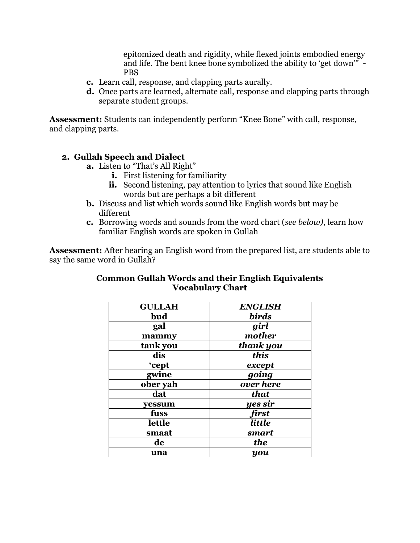epitomized death and rigidity, while flexed joints embodied energy and life. The bent knee bone symbolized the ability to 'get down'" - PBS

- **c.** Learn call, response, and clapping parts aurally.
- **d.** Once parts are learned, alternate call, response and clapping parts through separate student groups.

**Assessment:** Students can independently perform "Knee Bone" with call, response, and clapping parts.

### **2. Gullah Speech and Dialect**

- **a.** Listen to "That's All Right"
	- **i.** First listening for familiarity
	- **ii.** Second listening, pay attention to lyrics that sound like English words but are perhaps a bit different
- **b.** Discuss and list which words sound like English words but may be different
- **c.** Borrowing words and sounds from the word chart (*see below)*, learn how familiar English words are spoken in Gullah

**Assessment:** After hearing an English word from the prepared list, are students able to say the same word in Gullah?

| <b>GULLAH</b> | <b>ENGLISH</b> |
|---------------|----------------|
| bud           | <b>birds</b>   |
| gal           | girl           |
| mammy         | mother         |
| tank you      | thank you      |
| dis           | this           |
| 'cept         | except         |
| gwine         | going          |
| ober yah      | over here      |
| dat           | that           |
| yessum        | yes sir        |
| fuss          | first          |
| lettle        | little         |
| smaat         | smart          |
| de            | the            |
| una           | you            |

### **Common Gullah Words and their English Equivalents Vocabulary Chart**